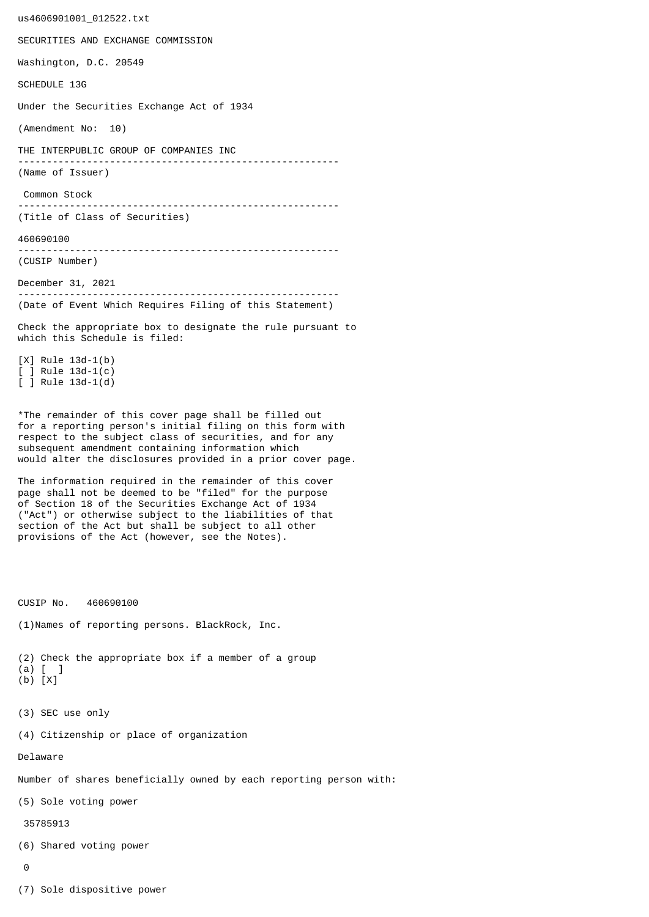us4606901001\_012522.txt SECURITIES AND EXCHANGE COMMISSION Washington, D.C. 20549 SCHEDULE 13G Under the Securities Exchange Act of 1934 (Amendment No: 10) THE INTERPUBLIC GROUP OF COMPANIES INC -------------------------------------------------------- (Name of Issuer) Common Stock -------------------------------------------------------- (Title of Class of Securities) 460690100 -------------------------------------------------------- (CUSIP Number) December 31, 2021 -------------------------------------------------------- (Date of Event Which Requires Filing of this Statement) Check the appropriate box to designate the rule pursuant to which this Schedule is filed: [X] Rule 13d-1(b) [ ] Rule 13d-1(c) [ ] Rule 13d-1(d) \*The remainder of this cover page shall be filled out for a reporting person's initial filing on this form with respect to the subject class of securities, and for any subsequent amendment containing information which would alter the disclosures provided in a prior cover page. The information required in the remainder of this cover page shall not be deemed to be "filed" for the purpose of Section 18 of the Securities Exchange Act of 1934 ("Act") or otherwise subject to the liabilities of that section of the Act but shall be subject to all other provisions of the Act (however, see the Notes). CUSIP No. 460690100 (1)Names of reporting persons. BlackRock, Inc. (2) Check the appropriate box if a member of a group (a) [ ] (b) [X] (3) SEC use only (4) Citizenship or place of organization Delaware Number of shares beneficially owned by each reporting person with: (5) Sole voting power 35785913 (6) Shared voting power  $\Omega$ 

(7) Sole dispositive power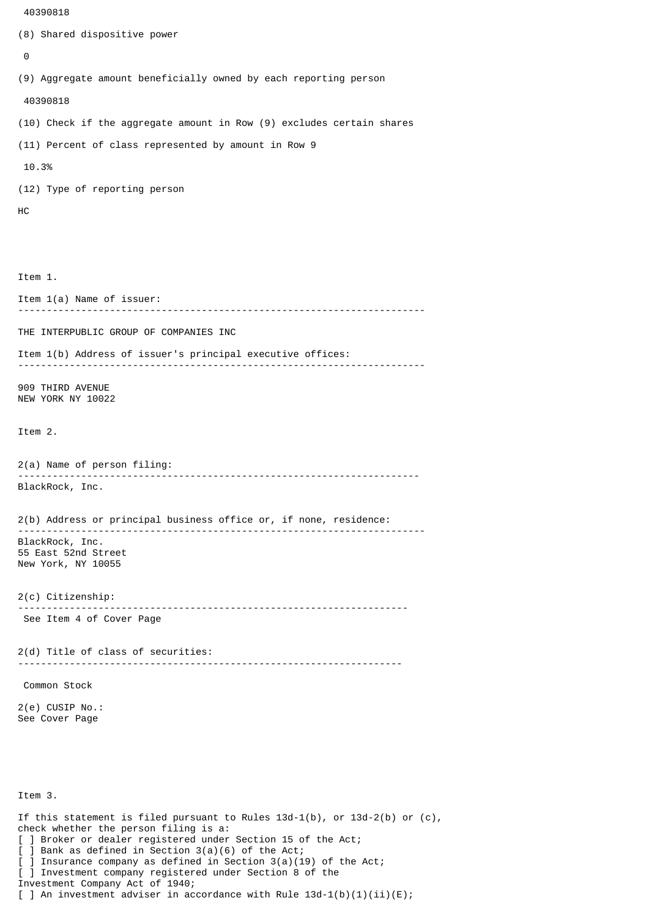```
 40390818
```

```
(8) Shared dispositive power
 \boldsymbol{\Theta}(9) Aggregate amount beneficially owned by each reporting person
  40390818
(10) Check if the aggregate amount in Row (9) excludes certain shares
(11) Percent of class represented by amount in Row 9
  10.3%
(12) Type of reporting person
HC
Item 1.
Item 1(a) Name of issuer:
                                          -----------------------------------------------------------------------
THE INTERPUBLIC GROUP OF COMPANIES INC
Item 1(b) Address of issuer's principal executive offices:
 -----------------------------------------------------------------------
909 THIRD AVENUE
NEW YORK NY 10022
Item 2.
2(a) Name of person filing:
               ----------------------------------------------------------------------
BlackRock, Inc.
2(b) Address or principal business office or, if none, residence:
 -----------------------------------------------------------------------
BlackRock, Inc.
55 East 52nd Street
New York, NY 10055
2(c) Citizenship:
                             --------------------------------------------------------------------
 See Item 4 of Cover Page
2(d) Title of class of securities:
                                        -------------------------------------------------------------------
 Common Stock
2(e) CUSIP No.:
See Cover Page
Item 3.
If this statement is filed pursuant to Rules 13d-1(b), or 13d-2(b) or (c),
check whether the person filing is a:
[ ] Broker or dealer registered under Section 15 of the Act;
[ ] Bank as defined in Section 3(a)(6) of the Act;
  ] Insurance company as defined in Section 3(a)(19) of the Act;
```
[ ] Investment company registered under Section 8 of the Investment Company Act of 1940; [ ] An investment adviser in accordance with Rule  $13d-1(b)(1)(ii)(E)$ ;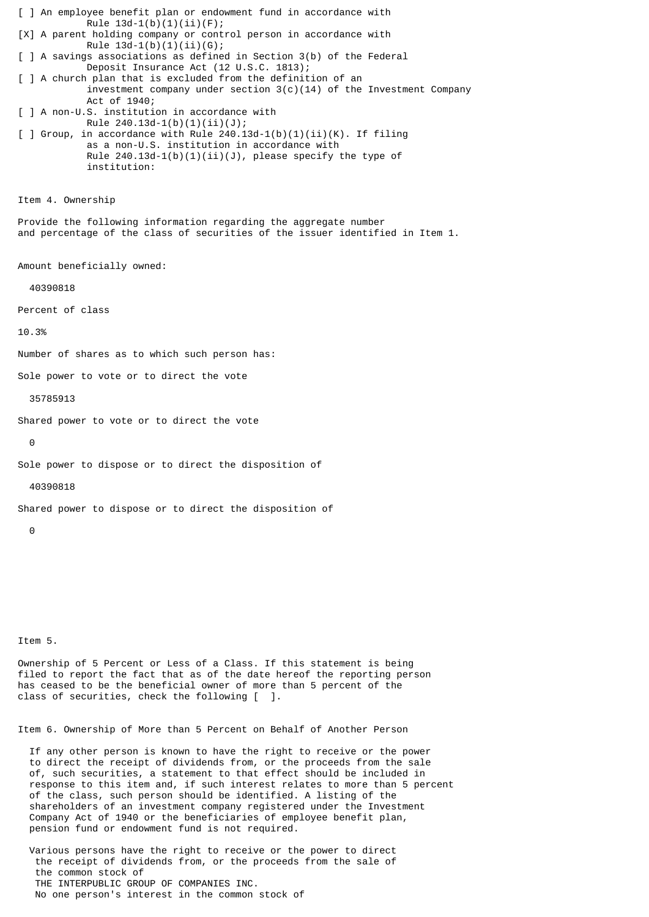[ ] An employee benefit plan or endowment fund in accordance with Rule  $13d-1(b)(1)(ii)(F);$ [X] A parent holding company or control person in accordance with Rule  $13d-1(b)(1)(ii)(G);$ [ ] A savings associations as defined in Section 3(b) of the Federal Deposit Insurance Act (12 U.S.C. 1813); [ ] A church plan that is excluded from the definition of an investment company under section  $3(c)(14)$  of the Investment Company Act of 1940; [ ] A non-U.S. institution in accordance with Rule 240.13d-1(b)(1)(ii)(J);  $\lceil$  ] Group, in accordance with Rule 240.13d-1(b)(1)(ii)(K). If filing as a non-U.S. institution in accordance with Rule  $240.13d-1(b)(1)(ii)(J)$ , please specify the type of institution: Item 4. Ownership Provide the following information regarding the aggregate number and percentage of the class of securities of the issuer identified in Item 1. Amount beneficially owned: 40390818 Percent of class 10.3% Number of shares as to which such person has: Sole power to vote or to direct the vote 35785913 Shared power to vote or to direct the vote  $\Theta$ Sole power to dispose or to direct the disposition of 40390818 Shared power to dispose or to direct the disposition of  $\Omega$ 

Item 5.

Ownership of 5 Percent or Less of a Class. If this statement is being filed to report the fact that as of the date hereof the reporting person has ceased to be the beneficial owner of more than 5 percent of the class of securities, check the following [ ].

Item 6. Ownership of More than 5 Percent on Behalf of Another Person

 If any other person is known to have the right to receive or the power to direct the receipt of dividends from, or the proceeds from the sale of, such securities, a statement to that effect should be included in response to this item and, if such interest relates to more than 5 percent of the class, such person should be identified. A listing of the shareholders of an investment company registered under the Investment Company Act of 1940 or the beneficiaries of employee benefit plan, pension fund or endowment fund is not required.

 Various persons have the right to receive or the power to direct the receipt of dividends from, or the proceeds from the sale of the common stock of THE INTERPUBLIC GROUP OF COMPANIES INC. No one person's interest in the common stock of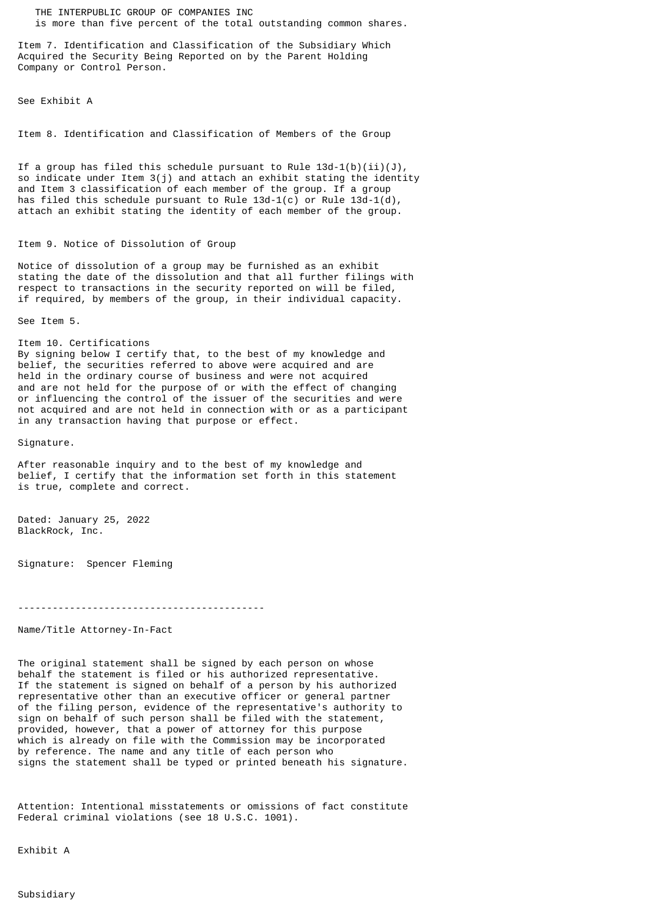THE INTERPUBLIC GROUP OF COMPANIES INC is more than five percent of the total outstanding common shares.

Item 7. Identification and Classification of the Subsidiary Which Acquired the Security Being Reported on by the Parent Holding Company or Control Person.

See Exhibit A

Item 8. Identification and Classification of Members of the Group

If a group has filed this schedule pursuant to Rule  $13d-1(b)(ii)(J)$ , so indicate under Item 3(j) and attach an exhibit stating the identity and Item 3 classification of each member of the group. If a group has filed this schedule pursuant to Rule  $13d-1(c)$  or Rule  $13d-1(d)$ , attach an exhibit stating the identity of each member of the group.

## Item 9. Notice of Dissolution of Group

Notice of dissolution of a group may be furnished as an exhibit stating the date of the dissolution and that all further filings with respect to transactions in the security reported on will be filed, if required, by members of the group, in their individual capacity.

See Item 5.

Item 10. Certifications By signing below I certify that, to the best of my knowledge and belief, the securities referred to above were acquired and are held in the ordinary course of business and were not acquired and are not held for the purpose of or with the effect of changing or influencing the control of the issuer of the securities and were not acquired and are not held in connection with or as a participant in any transaction having that purpose or effect.

Signature.

After reasonable inquiry and to the best of my knowledge and belief, I certify that the information set forth in this statement is true, complete and correct.

Dated: January 25, 2022 BlackRock, Inc.

Signature: Spencer Fleming

-------------------------------------------

Name/Title Attorney-In-Fact

The original statement shall be signed by each person on whose behalf the statement is filed or his authorized representative. If the statement is signed on behalf of a person by his authorized representative other than an executive officer or general partner of the filing person, evidence of the representative's authority to sign on behalf of such person shall be filed with the statement, provided, however, that a power of attorney for this purpose which is already on file with the Commission may be incorporated by reference. The name and any title of each person who signs the statement shall be typed or printed beneath his signature.

Attention: Intentional misstatements or omissions of fact constitute Federal criminal violations (see 18 U.S.C. 1001).

Exhibit A